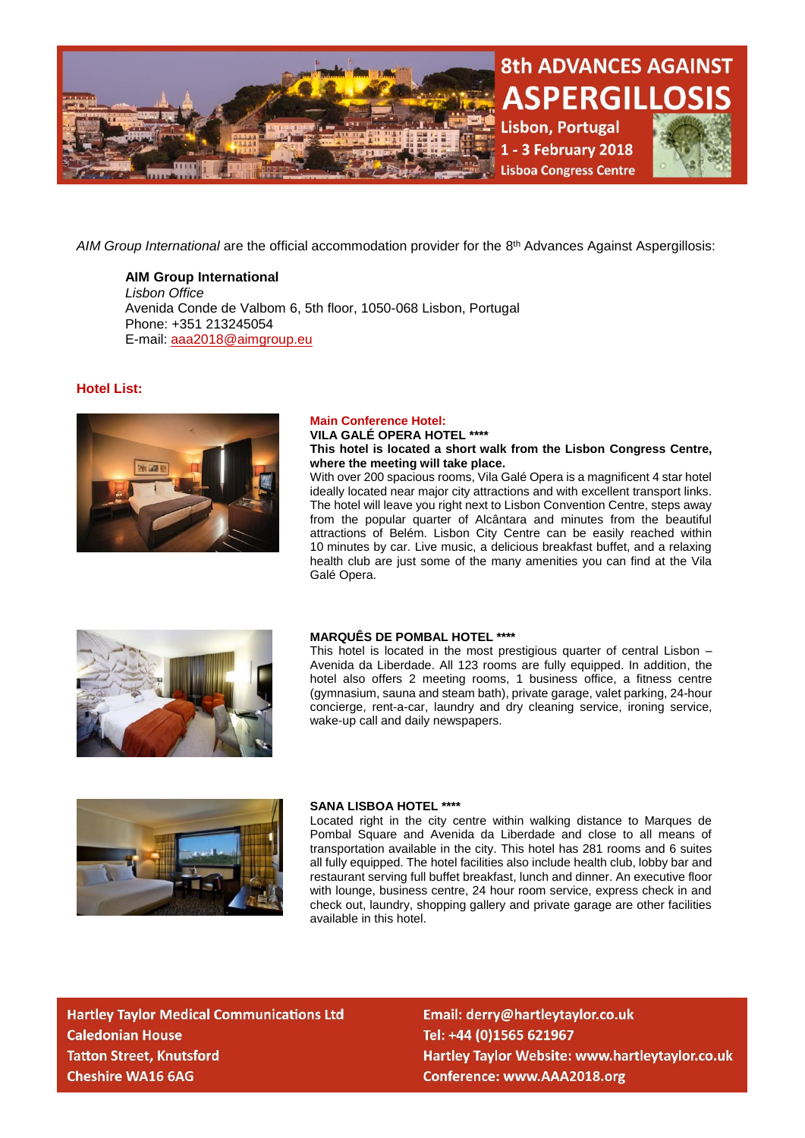

# **8th ADVANCES AGAINST ASPERGILLOS**

**Lisbon, Portugal** 1 - 3 February 2018 **Lisboa Congress Centre** 



AIM Group International are the official accommodation provider for the 8<sup>th</sup> Advances Against Aspergillosis:

# **AIM Group International**

*Lisbon Office* Avenida Conde de Valbom 6, 5th floor, 1050-068 Lisbon, Portugal Phone: +351 213245054 E-mail: [aaa2018@aimgroup.eu](mailto:aaa2018@aimgroup.eu)

# **Hotel List:**



## **Main Conference Hotel: VILA GALÉ OPERA HOTEL \*\*\*\***

# **This hotel is located a short walk from the Lisbon Congress Centre, where the meeting will take place.**

With over 200 spacious rooms, Vila Galé Opera is a magnificent 4 star hotel ideally located near major city attractions and with excellent transport links. The hotel will leave you right next to Lisbon Convention Centre, steps away from the popular quarter of Alcântara and minutes from the beautiful attractions of Belém. Lisbon City Centre can be easily reached within 10 minutes by car. Live music, a delicious breakfast buffet, and a relaxing health club are just some of the many amenities you can find at the Vila Galé Opera.



## **MARQUÊS DE POMBAL HOTEL \*\*\*\***

This hotel is located in the most prestigious quarter of central Lisbon – Avenida da Liberdade. All 123 rooms are fully equipped. In addition, the hotel also offers 2 meeting rooms, 1 business office, a fitness centre (gymnasium, sauna and steam bath), private garage, valet parking, 24-hour concierge, rent-a-car, laundry and dry cleaning service, ironing service, wake-up call and daily newspapers.



#### **SANA LISBOA HOTEL \*\*\*\***

Located right in the city centre within walking distance to Marques de Pombal Square and Avenida da Liberdade and close to all means of transportation available in the city. This hotel has 281 rooms and 6 suites all fully equipped. The hotel facilities also include health club, lobby bar and restaurant serving full buffet breakfast, lunch and dinner. An executive floor with lounge, business centre, 24 hour room service, express check in and check out, laundry, shopping gallery and private garage are other facilities available in this hotel.

**Hartley Taylor Medical Communications Ltd Caledonian House Tatton Street, Knutsford Cheshire WA16 6AG** 

Email: derry@hartleytaylor.co.uk Tel: +44 (0)1565 621967 Hartley Taylor Website: www.hartleytaylor.co.uk Conference: www.AAA2018.org